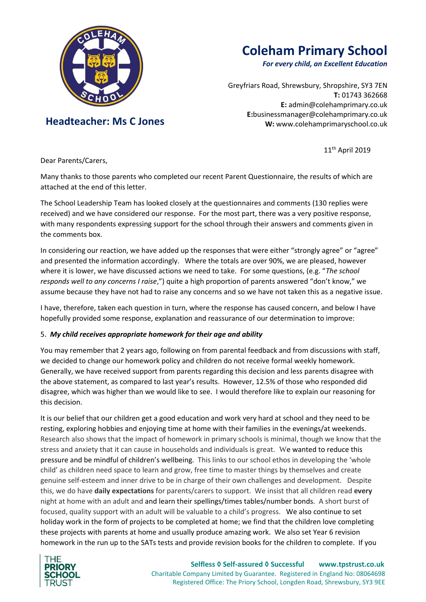

 **Headteacher: Ms C Jones**

# **Coleham Primary School**

*For every child, an Excellent Education*

Greyfriars Road, Shrewsbury, Shropshire, SY3 7EN **T:** 01743 362668 **E:** [admin@colehamprimary.co.uk](mailto:admin@colehamprimary.co.uk) **E:**businessmanager@colehamprimary.co.uk **W:** www.colehamprimaryschool.co.uk

11th April 2019

Dear Parents/Carers,

Many thanks to those parents who completed our recent Parent Questionnaire, the results of which are attached at the end of this letter.

The School Leadership Team has looked closely at the questionnaires and comments (130 replies were received) and we have considered our response. For the most part, there was a very positive response, with many respondents expressing support for the school through their answers and comments given in the comments box.

In considering our reaction, we have added up the responses that were either "strongly agree" or "agree" and presented the information accordingly. Where the totals are over 90%, we are pleased, however where it is lower, we have discussed actions we need to take. For some questions, (e.g. "*The school responds well to any concerns I raise*,") quite a high proportion of parents answered "don't know," we assume because they have not had to raise any concerns and so we have not taken this as a negative issue.

I have, therefore, taken each question in turn, where the response has caused concern, and below I have hopefully provided some response, explanation and reassurance of our determination to improve:

# 5. *My child receives appropriate homework for their age and ability*

You may remember that 2 years ago, following on from parental feedback and from discussions with staff, we decided to change our homework policy and children do not receive formal weekly homework. Generally, we have received support from parents regarding this decision and less parents disagree with the above statement, as compared to last year's results. However, 12.5% of those who responded did disagree, which was higher than we would like to see. I would therefore like to explain our reasoning for this decision.

It is our belief that our children get a good education and work very hard at school and they need to be resting, exploring hobbies and enjoying time at home with their families in the evenings/at weekends. Research also shows that the impact of homework in primary schools is minimal, though we know that the stress and anxiety that it can cause in households and individuals is great. We wanted to reduce this pressure and be mindful of children's wellbeing. This links to our school ethos in developing the 'whole child' as children need space to learn and grow, free time to master things by themselves and create genuine self-esteem and inner drive to be in charge of their own challenges and development. Despite this, we do have **daily expectations** for parents/carers to support. We insist that all children read **every** night at home with an adult and and learn their spellings/times tables/number bonds. A short burst of focused, quality support with an adult will be valuable to a child's progress. We also continue to set holiday work in the form of projects to be completed at home; we find that the children love completing these projects with parents at home and usually produce amazing work. We also set Year 6 revision homework in the run up to the SATs tests and provide revision books for the children to complete. If you

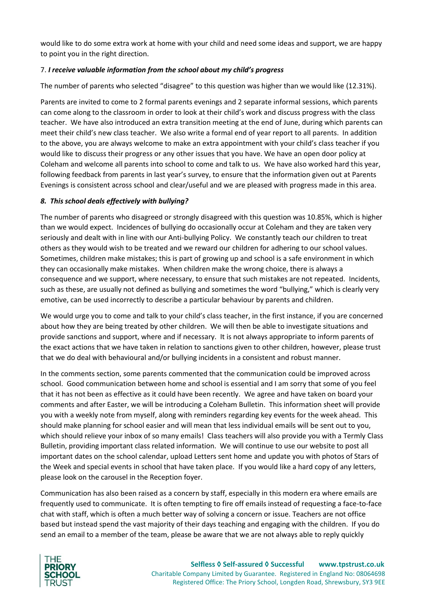would like to do some extra work at home with your child and need some ideas and support, we are happy to point you in the right direction.

# 7. *I receive valuable information from the school about my child's progress*

The number of parents who selected "disagree" to this question was higher than we would like (12.31%).

Parents are invited to come to 2 formal parents evenings and 2 separate informal sessions, which parents can come along to the classroom in order to look at their child's work and discuss progress with the class teacher. We have also introduced an extra transition meeting at the end of June, during which parents can meet their child's new class teacher. We also write a formal end of year report to all parents. In addition to the above, you are always welcome to make an extra appointment with your child's class teacher if you would like to discuss their progress or any other issues that you have. We have an open door policy at Coleham and welcome all parents into school to come and talk to us. We have also worked hard this year, following feedback from parents in last year's survey, to ensure that the information given out at Parents Evenings is consistent across school and clear/useful and we are pleased with progress made in this area.

# *8. This school deals effectively with bullying?*

The number of parents who disagreed or strongly disagreed with this question was 10.85%, which is higher than we would expect. Incidences of bullying do occasionally occur at Coleham and they are taken very seriously and dealt with in line with our Anti-bullying Policy. We constantly teach our children to treat others as they would wish to be treated and we reward our children for adhering to our school values. Sometimes, children make mistakes; this is part of growing up and school is a safe environment in which they can occasionally make mistakes. When children make the wrong choice, there is always a consequence and we support, where necessary, to ensure that such mistakes are not repeated. Incidents, such as these, are usually not defined as bullying and sometimes the word "bullying," which is clearly very emotive, can be used incorrectly to describe a particular behaviour by parents and children.

We would urge you to come and talk to your child's class teacher, in the first instance, if you are concerned about how they are being treated by other children. We will then be able to investigate situations and provide sanctions and support, where and if necessary. It is not always appropriate to inform parents of the exact actions that we have taken in relation to sanctions given to other children, however, please trust that we do deal with behavioural and/or bullying incidents in a consistent and robust manner.

In the comments section, some parents commented that the communication could be improved across school. Good communication between home and school is essential and I am sorry that some of you feel that it has not been as effective as it could have been recently. We agree and have taken on board your comments and after Easter, we will be introducing a Coleham Bulletin. This information sheet will provide you with a weekly note from myself, along with reminders regarding key events for the week ahead. This should make planning for school easier and will mean that less individual emails will be sent out to you, which should relieve your inbox of so many emails! Class teachers will also provide you with a Termly Class Bulletin, providing important class related information. We will continue to use our website to post all important dates on the school calendar, upload Letters sent home and update you with photos of Stars of the Week and special events in school that have taken place. If you would like a hard copy of any letters, please look on the carousel in the Reception foyer.

Communication has also been raised as a concern by staff, especially in this modern era where emails are frequently used to communicate. It is often tempting to fire off emails instead of requesting a face-to-face chat with staff, which is often a much better way of solving a concern or issue. Teachers are not office based but instead spend the vast majority of their days teaching and engaging with the children. If you do send an email to a member of the team, please be aware that we are not always able to reply quickly

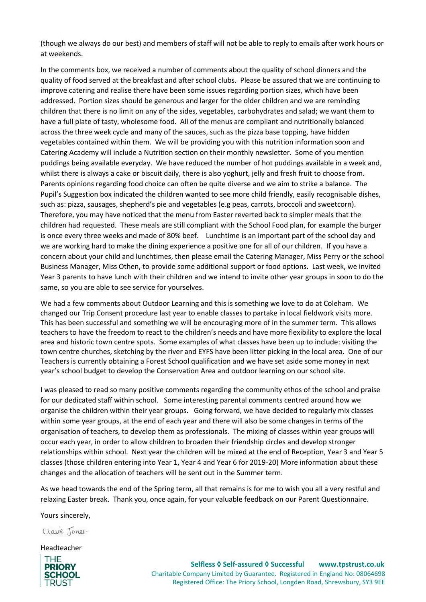(though we always do our best) and members of staff will not be able to reply to emails after work hours or at weekends.

In the comments box, we received a number of comments about the quality of school dinners and the quality of food served at the breakfast and after school clubs. Please be assured that we are continuing to improve catering and realise there have been some issues regarding portion sizes, which have been addressed. Portion sizes should be generous and larger for the older children and we are reminding children that there is no limit on any of the sides, vegetables, carbohydrates and salad; we want them to have a full plate of tasty, wholesome food. All of the menus are compliant and nutritionally balanced across the three week cycle and many of the sauces, such as the pizza base topping, have hidden vegetables contained within them. We will be providing you with this nutrition information soon and Catering Academy will include a Nutrition section on their monthly newsletter. Some of you mention puddings being available everyday. We have reduced the number of hot puddings available in a week and, whilst there is always a cake or biscuit daily, there is also yoghurt, jelly and fresh fruit to choose from. Parents opinions regarding food choice can often be quite diverse and we aim to strike a balance. The Pupil's Suggestion box indicated the children wanted to see more child friendly, easily recognisable dishes, such as: pizza, sausages, shepherd's pie and vegetables (e.g peas, carrots, broccoli and sweetcorn). Therefore, you may have noticed that the menu from Easter reverted back to simpler meals that the children had requested. These meals are still compliant with the School Food plan, for example the burger is once every three weeks and made of 80% beef. Lunchtime is an important part of the school day and we are working hard to make the dining experience a positive one for all of our children. If you have a concern about your child and lunchtimes, then please email the Catering Manager, Miss Perry or the school Business Manager, Miss Othen, to provide some additional support or food options. Last week, we invited Year 3 parents to have lunch with their children and we intend to invite other year groups in soon to do the same, so you are able to see service for yourselves.

We had a few comments about Outdoor Learning and this is something we love to do at Coleham. We changed our Trip Consent procedure last year to enable classes to partake in local fieldwork visits more. This has been successful and something we will be encouraging more of in the summer term. This allows teachers to have the freedom to react to the children's needs and have more flexibility to explore the local area and historic town centre spots. Some examples of what classes have been up to include: visiting the town centre churches, sketching by the river and EYFS have been litter picking in the local area. One of our Teachers is currently obtaining a Forest School qualification and we have set aside some money in next year's school budget to develop the Conservation Area and outdoor learning on our school site.

I was pleased to read so many positive comments regarding the community ethos of the school and praise for our dedicated staff within school. Some interesting parental comments centred around how we organise the children within their year groups. Going forward, we have decided to regularly mix classes within some year groups, at the end of each year and there will also be some changes in terms of the organisation of teachers, to develop them as professionals. The mixing of classes within year groups will occur each year, in order to allow children to broaden their friendship circles and develop stronger relationships within school. Next year the children will be mixed at the end of Reception, Year 3 and Year 5 classes (those children entering into Year 1, Year 4 and Year 6 for 2019-20) More information about these changes and the allocation of teachers will be sent out in the Summer term.

As we head towards the end of the Spring term, all that remains is for me to wish you all a very restful and relaxing Easter break. Thank you, once again, for your valuable feedback on our Parent Questionnaire.

Yours sincerely,

Clave Jones.